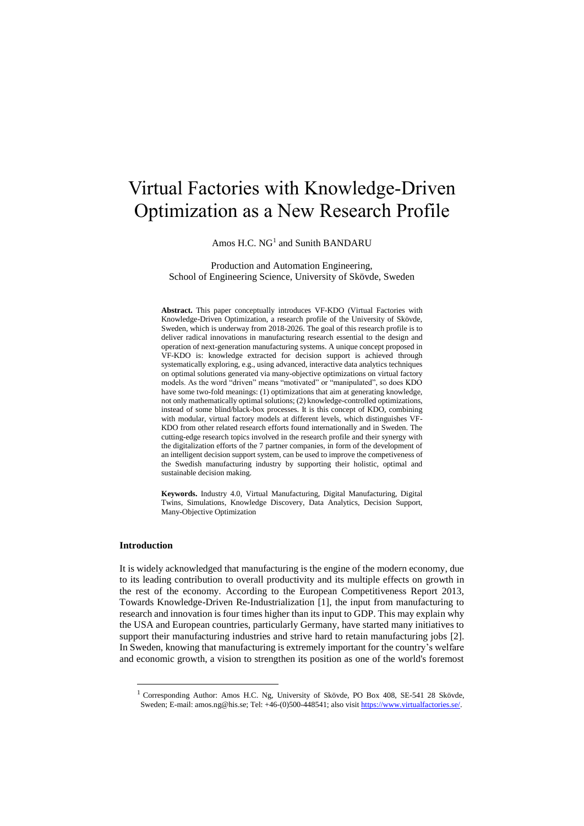# Virtual Factories with Knowledge-Driven Optimization as a New Research Profile

Amos H.C. NG<sup>1</sup> and Sunith BANDARU

Production and Automation Engineering, School of Engineering Science, University of Skövde, Sweden

**Abstract.** This paper conceptually introduces VF-KDO (Virtual Factories with Knowledge-Driven Optimization, a research profile of the University of Skövde, Sweden, which is underway from 2018-2026. The goal of this research profile is to deliver radical innovations in manufacturing research essential to the design and operation of next-generation manufacturing systems. A unique concept proposed in VF-KDO is: knowledge extracted for decision support is achieved through systematically exploring, e.g., using advanced, interactive data analytics techniques on optimal solutions generated via many-objective optimizations on virtual factory models. As the word "driven" means "motivated" or "manipulated", so does KDO have some two-fold meanings: (1) optimizations that aim at generating knowledge, not only mathematically optimal solutions; (2) knowledge-controlled optimizations, instead of some blind/black-box processes. It is this concept of KDO, combining with modular, virtual factory models at different levels, which distinguishes VF-KDO from other related research efforts found internationally and in Sweden. The cutting-edge research topics involved in the research profile and their synergy with the digitalization efforts of the 7 partner companies, in form of the development of an intelligent decision support system, can be used to improve the competiveness of the Swedish manufacturing industry by supporting their holistic, optimal and sustainable decision making.

**Keywords.** Industry 4.0, Virtual Manufacturing, Digital Manufacturing, Digital Twins, Simulations, Knowledge Discovery, Data Analytics, Decision Support, Many-Objective Optimization

## **Introduction**

-

It is widely acknowledged that manufacturing is the engine of the modern economy, due to its leading contribution to overall productivity and its multiple effects on growth in the rest of the economy. According to the European Competitiveness Report 2013, Towards Knowledge-Driven Re-Industrialization [1], the input from manufacturing to research and innovation is four times higher than its input to GDP. This may explain why the USA and European countries, particularly Germany, have started many initiatives to support their manufacturing industries and strive hard to retain manufacturing jobs [2]. In Sweden, knowing that manufacturing is extremely important for the country's welfare and economic growth, a vision to strengthen its position as one of the world's foremost

<sup>1</sup> Corresponding Author: Amos H.C. Ng, University of Skövde, PO Box 408, SE-541 28 Skövde, Sweden; E-mail: amos.ng@his.se; Tel: +46-(0)500-448541; also visi[t https://www.virtualfactories.se/.](https://www.virtualfactories.se/)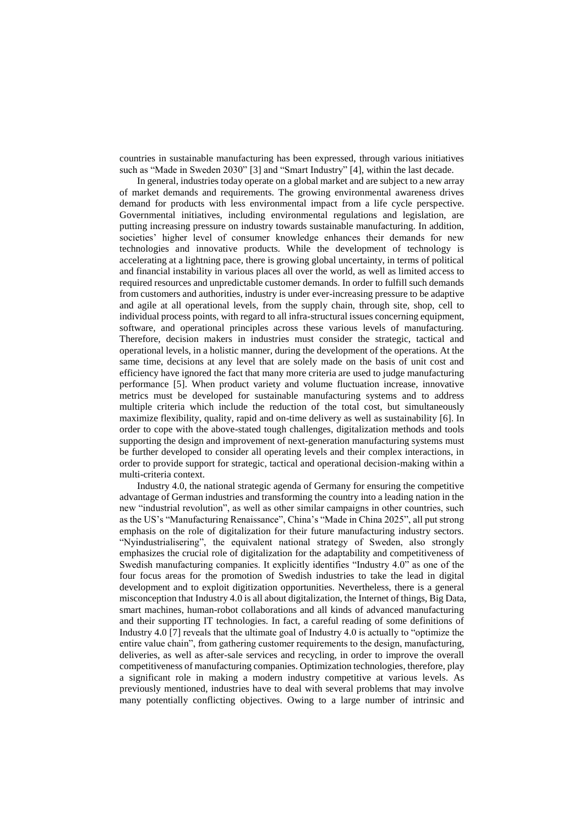countries in sustainable manufacturing has been expressed, through various initiatives such as "Made in Sweden 2030" [3] and "Smart Industry" [4], within the last decade.

In general, industries today operate on a global market and are subject to a new array of market demands and requirements. The growing environmental awareness drives demand for products with less environmental impact from a life cycle perspective. Governmental initiatives, including environmental regulations and legislation, are putting increasing pressure on industry towards sustainable manufacturing. In addition, societies' higher level of consumer knowledge enhances their demands for new technologies and innovative products. While the development of technology is accelerating at a lightning pace, there is growing global uncertainty, in terms of political and financial instability in various places all over the world, as well as limited access to required resources and unpredictable customer demands. In order to fulfill such demands from customers and authorities, industry is under ever-increasing pressure to be adaptive and agile at all operational levels, from the supply chain, through site, shop, cell to individual process points, with regard to all infra-structural issues concerning equipment, software, and operational principles across these various levels of manufacturing. Therefore, decision makers in industries must consider the strategic, tactical and operational levels, in a holistic manner, during the development of the operations. At the same time, decisions at any level that are solely made on the basis of unit cost and efficiency have ignored the fact that many more criteria are used to judge manufacturing performance [5]. When product variety and volume fluctuation increase, innovative metrics must be developed for sustainable manufacturing systems and to address multiple criteria which include the reduction of the total cost, but simultaneously maximize flexibility, quality, rapid and on-time delivery as well as sustainability [6]. In order to cope with the above-stated tough challenges, digitalization methods and tools supporting the design and improvement of next-generation manufacturing systems must be further developed to consider all operating levels and their complex interactions, in order to provide support for strategic, tactical and operational decision-making within a multi-criteria context.

Industry 4.0, the national strategic agenda of Germany for ensuring the competitive advantage of German industries and transforming the country into a leading nation in the new "industrial revolution", as well as other similar campaigns in other countries, such as the US's "Manufacturing Renaissance", China's "Made in China 2025", all put strong emphasis on the role of digitalization for their future manufacturing industry sectors. "Nyindustrialisering", the equivalent national strategy of Sweden, also strongly emphasizes the crucial role of digitalization for the adaptability and competitiveness of Swedish manufacturing companies. It explicitly identifies "Industry 4.0" as one of the four focus areas for the promotion of Swedish industries to take the lead in digital development and to exploit digitization opportunities. Nevertheless, there is a general misconception that Industry 4.0 is all about digitalization, the Internet of things, Big Data, smart machines, human-robot collaborations and all kinds of advanced manufacturing and their supporting IT technologies. In fact, a careful reading of some definitions of Industry 4.0 [7] reveals that the ultimate goal of Industry 4.0 is actually to "optimize the entire value chain", from gathering customer requirements to the design, manufacturing, deliveries, as well as after-sale services and recycling, in order to improve the overall competitiveness of manufacturing companies. Optimization technologies, therefore, play a significant role in making a modern industry competitive at various levels. As previously mentioned, industries have to deal with several problems that may involve many potentially conflicting objectives. Owing to a large number of intrinsic and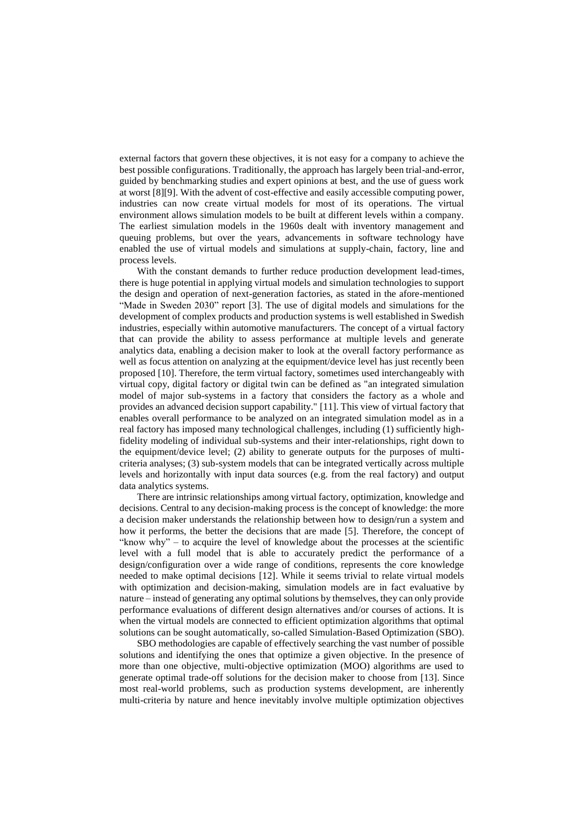external factors that govern these objectives, it is not easy for a company to achieve the best possible configurations. Traditionally, the approach has largely been trial-and-error, guided by benchmarking studies and expert opinions at best, and the use of guess work at worst [8][9]. With the advent of cost-effective and easily accessible computing power, industries can now create virtual models for most of its operations. The virtual environment allows simulation models to be built at different levels within a company. The earliest simulation models in the 1960s dealt with inventory management and queuing problems, but over the years, advancements in software technology have enabled the use of virtual models and simulations at supply-chain, factory, line and process levels.

With the constant demands to further reduce production development lead-times, there is huge potential in applying virtual models and simulation technologies to support the design and operation of next-generation factories, as stated in the afore-mentioned "Made in Sweden 2030" report [3]. The use of digital models and simulations for the development of complex products and production systems is well established in Swedish industries, especially within automotive manufacturers. The concept of a virtual factory that can provide the ability to assess performance at multiple levels and generate analytics data, enabling a decision maker to look at the overall factory performance as well as focus attention on analyzing at the equipment/device level has just recently been proposed [10]. Therefore, the term virtual factory, sometimes used interchangeably with virtual copy, digital factory or digital twin can be defined as "an integrated simulation model of major sub-systems in a factory that considers the factory as a whole and provides an advanced decision support capability." [11]. This view of virtual factory that enables overall performance to be analyzed on an integrated simulation model as in a real factory has imposed many technological challenges, including (1) sufficiently highfidelity modeling of individual sub-systems and their inter-relationships, right down to the equipment/device level; (2) ability to generate outputs for the purposes of multicriteria analyses; (3) sub-system models that can be integrated vertically across multiple levels and horizontally with input data sources (e.g. from the real factory) and output data analytics systems.

There are intrinsic relationships among virtual factory, optimization, knowledge and decisions. Central to any decision-making process is the concept of knowledge: the more a decision maker understands the relationship between how to design/run a system and how it performs, the better the decisions that are made [5]. Therefore, the concept of "know why" – to acquire the level of knowledge about the processes at the scientific level with a full model that is able to accurately predict the performance of a design/configuration over a wide range of conditions, represents the core knowledge needed to make optimal decisions [12]. While it seems trivial to relate virtual models with optimization and decision-making, simulation models are in fact evaluative by nature – instead of generating any optimal solutions by themselves, they can only provide performance evaluations of different design alternatives and/or courses of actions. It is when the virtual models are connected to efficient optimization algorithms that optimal solutions can be sought automatically, so-called Simulation-Based Optimization (SBO).

SBO methodologies are capable of effectively searching the vast number of possible solutions and identifying the ones that optimize a given objective. In the presence of more than one objective, multi-objective optimization (MOO) algorithms are used to generate optimal trade-off solutions for the decision maker to choose from [13]. Since most real-world problems, such as production systems development, are inherently multi-criteria by nature and hence inevitably involve multiple optimization objectives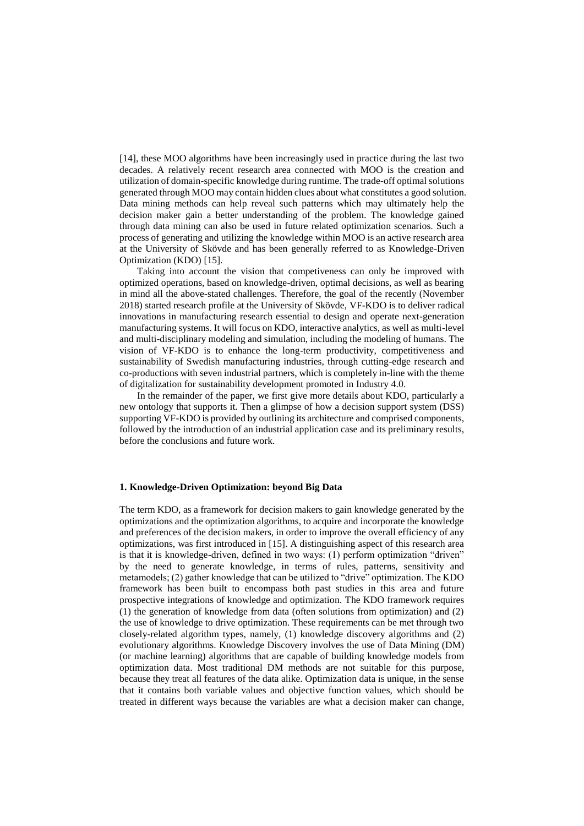[14], these MOO algorithms have been increasingly used in practice during the last two decades. A relatively recent research area connected with MOO is the creation and utilization of domain-specific knowledge during runtime. The trade-off optimal solutions generated through MOO may contain hidden clues about what constitutes a good solution. Data mining methods can help reveal such patterns which may ultimately help the decision maker gain a better understanding of the problem. The knowledge gained through data mining can also be used in future related optimization scenarios. Such a process of generating and utilizing the knowledge within MOO is an active research area at the University of Skövde and has been generally referred to as Knowledge-Driven Optimization (KDO) [15].

Taking into account the vision that competiveness can only be improved with optimized operations, based on knowledge-driven, optimal decisions, as well as bearing in mind all the above-stated challenges. Therefore, the goal of the recently (November 2018) started research profile at the University of Skövde, VF-KDO is to deliver radical innovations in manufacturing research essential to design and operate next-generation manufacturing systems. It will focus on KDO, interactive analytics, as well as multi-level and multi-disciplinary modeling and simulation, including the modeling of humans. The vision of VF-KDO is to enhance the long-term productivity, competitiveness and sustainability of Swedish manufacturing industries, through cutting-edge research and co-productions with seven industrial partners, which is completely in-line with the theme of digitalization for sustainability development promoted in Industry 4.0.

In the remainder of the paper, we first give more details about KDO, particularly a new ontology that supports it. Then a glimpse of how a decision support system (DSS) supporting VF-KDO is provided by outlining its architecture and comprised components, followed by the introduction of an industrial application case and its preliminary results, before the conclusions and future work.

## **1. Knowledge-Driven Optimization: beyond Big Data**

The term KDO, as a framework for decision makers to gain knowledge generated by the optimizations and the optimization algorithms, to acquire and incorporate the knowledge and preferences of the decision makers, in order to improve the overall efficiency of any optimizations, was first introduced in [15]. A distinguishing aspect of this research area is that it is knowledge-driven, defined in two ways: (1) perform optimization "driven" by the need to generate knowledge, in terms of rules, patterns, sensitivity and metamodels; (2) gather knowledge that can be utilized to "drive" optimization. The KDO framework has been built to encompass both past studies in this area and future prospective integrations of knowledge and optimization. The KDO framework requires (1) the generation of knowledge from data (often solutions from optimization) and (2) the use of knowledge to drive optimization. These requirements can be met through two closely-related algorithm types, namely, (1) knowledge discovery algorithms and (2) evolutionary algorithms. Knowledge Discovery involves the use of Data Mining (DM) (or machine learning) algorithms that are capable of building knowledge models from optimization data. Most traditional DM methods are not suitable for this purpose, because they treat all features of the data alike. Optimization data is unique, in the sense that it contains both variable values and objective function values, which should be treated in different ways because the variables are what a decision maker can change,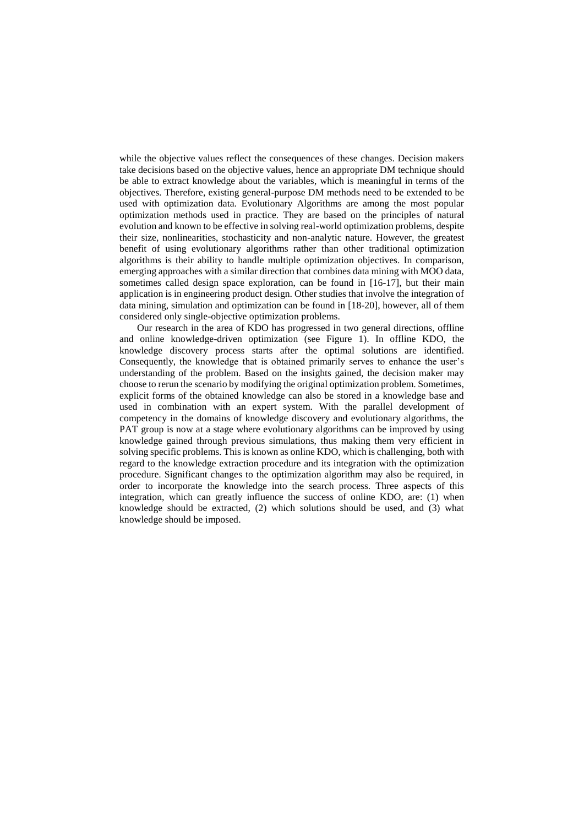while the objective values reflect the consequences of these changes. Decision makers take decisions based on the objective values, hence an appropriate DM technique should be able to extract knowledge about the variables, which is meaningful in terms of the objectives. Therefore, existing general-purpose DM methods need to be extended to be used with optimization data. Evolutionary Algorithms are among the most popular optimization methods used in practice. They are based on the principles of natural evolution and known to be effective in solving real-world optimization problems, despite their size, nonlinearities, stochasticity and non-analytic nature. However, the greatest benefit of using evolutionary algorithms rather than other traditional optimization algorithms is their ability to handle multiple optimization objectives. In comparison, emerging approaches with a similar direction that combines data mining with MOO data, sometimes called design space exploration, can be found in [16-17], but their main application is in engineering product design. Other studies that involve the integration of data mining, simulation and optimization can be found in [18-20], however, all of them considered only single-objective optimization problems.

Our research in the area of KDO has progressed in two general directions, offline and online knowledge-driven optimization (see Figure 1). In offline KDO, the knowledge discovery process starts after the optimal solutions are identified. Consequently, the knowledge that is obtained primarily serves to enhance the user's understanding of the problem. Based on the insights gained, the decision maker may choose to rerun the scenario by modifying the original optimization problem. Sometimes, explicit forms of the obtained knowledge can also be stored in a knowledge base and used in combination with an expert system. With the parallel development of competency in the domains of knowledge discovery and evolutionary algorithms, the PAT group is now at a stage where evolutionary algorithms can be improved by using knowledge gained through previous simulations, thus making them very efficient in solving specific problems. This is known as online KDO, which is challenging, both with regard to the knowledge extraction procedure and its integration with the optimization procedure. Significant changes to the optimization algorithm may also be required, in order to incorporate the knowledge into the search process. Three aspects of this integration, which can greatly influence the success of online KDO, are: (1) when knowledge should be extracted, (2) which solutions should be used, and (3) what knowledge should be imposed.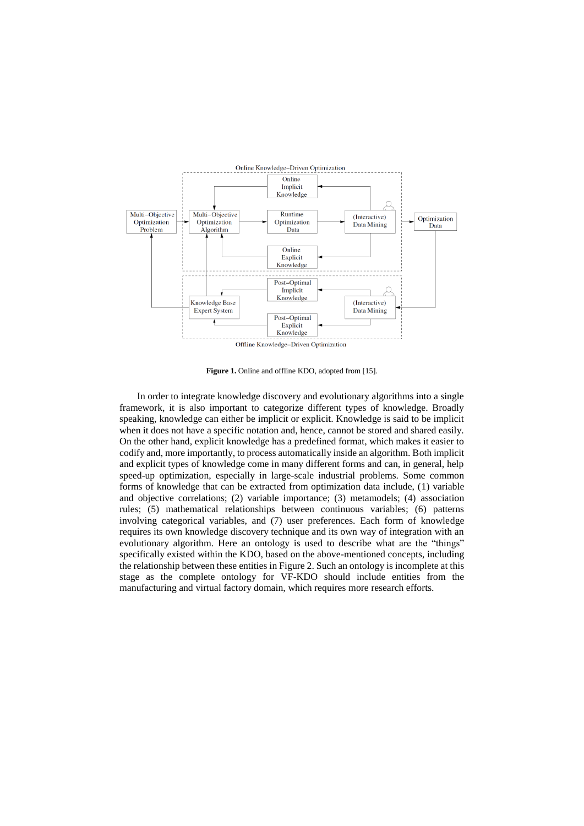

**Figure 1.** Online and offline KDO, adopted from [15].

In order to integrate knowledge discovery and evolutionary algorithms into a single framework, it is also important to categorize different types of knowledge. Broadly speaking, knowledge can either be implicit or explicit. Knowledge is said to be implicit when it does not have a specific notation and, hence, cannot be stored and shared easily. On the other hand, explicit knowledge has a predefined format, which makes it easier to codify and, more importantly, to process automatically inside an algorithm. Both implicit and explicit types of knowledge come in many different forms and can, in general, help speed-up optimization, especially in large-scale industrial problems. Some common forms of knowledge that can be extracted from optimization data include, (1) variable and objective correlations; (2) variable importance; (3) metamodels; (4) association rules; (5) mathematical relationships between continuous variables; (6) patterns involving categorical variables, and (7) user preferences. Each form of knowledge requires its own knowledge discovery technique and its own way of integration with an evolutionary algorithm. Here an ontology is used to describe what are the "things" specifically existed within the KDO, based on the above-mentioned concepts, including the relationship between these entities in Figure 2. Such an ontology is incomplete at this stage as the complete ontology for VF-KDO should include entities from the manufacturing and virtual factory domain, which requires more research efforts.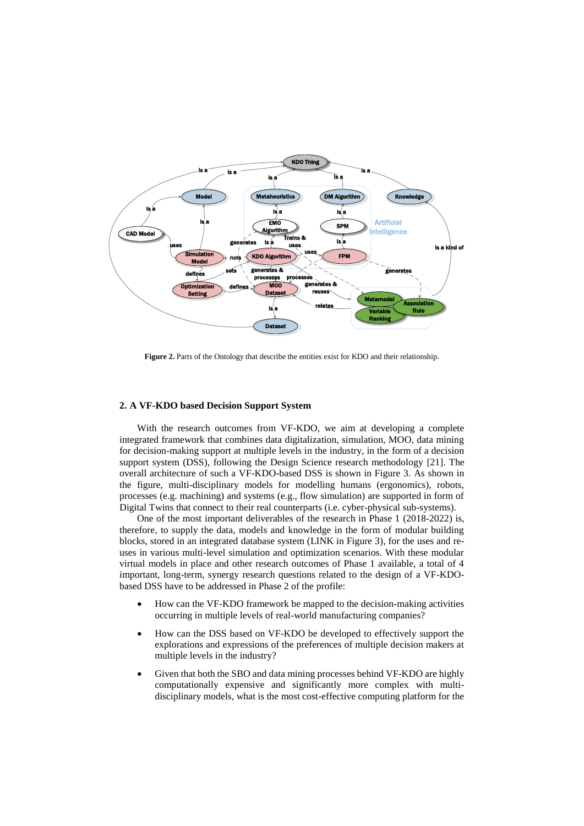

**Figure 2.** Parts of the Ontology that describe the entities exist for KDO and their relationship.

## **2. A VF-KDO based Decision Support System**

With the research outcomes from VF-KDO, we aim at developing a complete integrated framework that combines data digitalization, simulation, MOO, data mining for decision-making support at multiple levels in the industry, in the form of a decision support system (DSS), following the Design Science research methodology [21]. The overall architecture of such a VF-KDO-based DSS is shown in Figure 3. As shown in the figure, multi-disciplinary models for modelling humans (ergonomics), robots, processes (e.g. machining) and systems (e.g., flow simulation) are supported in form of Digital Twins that connect to their real counterparts (i.e. cyber-physical sub-systems).

One of the most important deliverables of the research in Phase 1 (2018-2022) is, therefore, to supply the data, models and knowledge in the form of modular building blocks, stored in an integrated database system (LINK in Figure 3), for the uses and reuses in various multi-level simulation and optimization scenarios. With these modular virtual models in place and other research outcomes of Phase 1 available, a total of 4 important, long-term, synergy research questions related to the design of a VF-KDObased DSS have to be addressed in Phase 2 of the profile:

- How can the VF-KDO framework be mapped to the decision-making activities occurring in multiple levels of real-world manufacturing companies?
- How can the DSS based on VF-KDO be developed to effectively support the explorations and expressions of the preferences of multiple decision makers at multiple levels in the industry?
- Given that both the SBO and data mining processes behind VF-KDO are highly computationally expensive and significantly more complex with multidisciplinary models, what is the most cost-effective computing platform for the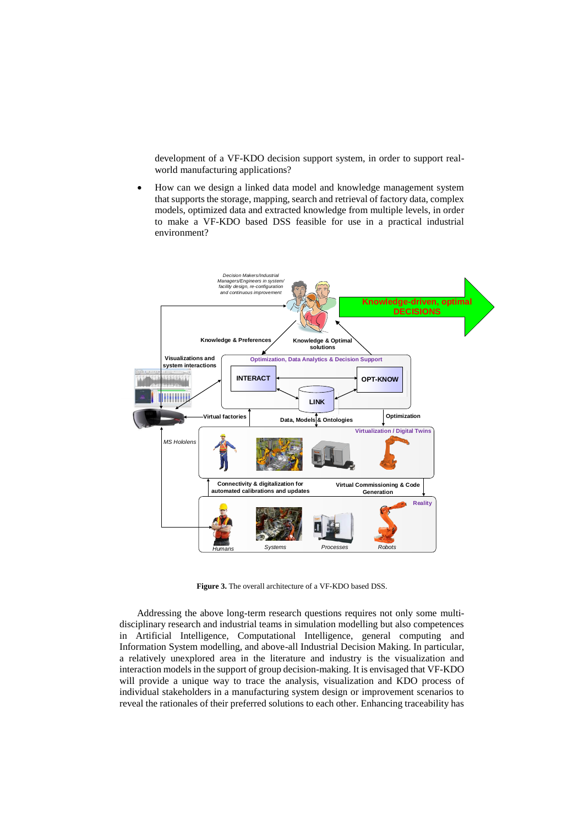development of a VF-KDO decision support system, in order to support realworld manufacturing applications?

 How can we design a linked data model and knowledge management system that supports the storage, mapping, search and retrieval of factory data, complex models, optimized data and extracted knowledge from multiple levels, in order to make a VF-KDO based DSS feasible for use in a practical industrial environment?



**Figure 3.** The overall architecture of a VF-KDO based DSS.

Addressing the above long-term research questions requires not only some multidisciplinary research and industrial teams in simulation modelling but also competences in Artificial Intelligence, Computational Intelligence, general computing and Information System modelling, and above-all Industrial Decision Making. In particular, a relatively unexplored area in the literature and industry is the visualization and interaction models in the support of group decision-making. It is envisaged that VF-KDO will provide a unique way to trace the analysis, visualization and KDO process of individual stakeholders in a manufacturing system design or improvement scenarios to reveal the rationales of their preferred solutions to each other. Enhancing traceability has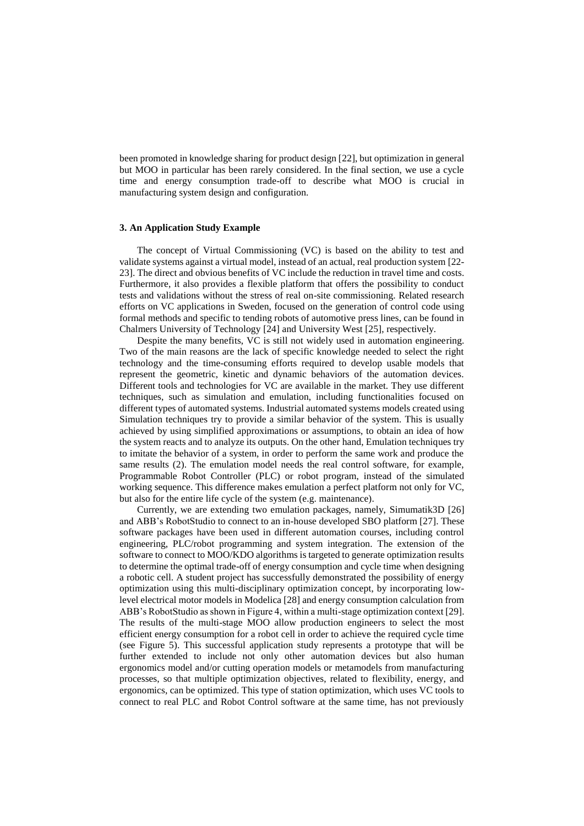been promoted in knowledge sharing for product design [22], but optimization in general but MOO in particular has been rarely considered. In the final section, we use a cycle time and energy consumption trade-off to describe what MOO is crucial in manufacturing system design and configuration.

## **3. An Application Study Example**

The concept of Virtual Commissioning (VC) is based on the ability to test and validate systems against a virtual model, instead of an actual, real production system [22- 23]. The direct and obvious benefits of VC include the reduction in travel time and costs. Furthermore, it also provides a flexible platform that offers the possibility to conduct tests and validations without the stress of real on-site commissioning. Related research efforts on VC applications in Sweden, focused on the generation of control code using formal methods and specific to tending robots of automotive press lines, can be found in Chalmers University of Technology [24] and University West [25], respectively.

Despite the many benefits, VC is still not widely used in automation engineering. Two of the main reasons are the lack of specific knowledge needed to select the right technology and the time-consuming efforts required to develop usable models that represent the geometric, kinetic and dynamic behaviors of the automation devices. Different tools and technologies for VC are available in the market. They use different techniques, such as simulation and emulation, including functionalities focused on different types of automated systems. Industrial automated systems models created using Simulation techniques try to provide a similar behavior of the system. This is usually achieved by using simplified approximations or assumptions, to obtain an idea of how the system reacts and to analyze its outputs. On the other hand, Emulation techniques try to imitate the behavior of a system, in order to perform the same work and produce the same results (2). The emulation model needs the real control software, for example, Programmable Robot Controller (PLC) or robot program, instead of the simulated working sequence. This difference makes emulation a perfect platform not only for VC, but also for the entire life cycle of the system (e.g. maintenance).

Currently, we are extending two emulation packages, namely, Simumatik3D [26] and ABB's RobotStudio to connect to an in-house developed SBO platform [27]. These software packages have been used in different automation courses, including control engineering, PLC/robot programming and system integration. The extension of the software to connect to MOO/KDO algorithms is targeted to generate optimization results to determine the optimal trade-off of energy consumption and cycle time when designing a robotic cell. A student project has successfully demonstrated the possibility of energy optimization using this multi-disciplinary optimization concept, by incorporating lowlevel electrical motor models in Modelica [28] and energy consumption calculation from ABB's RobotStudio as shown in Figure 4, within a multi-stage optimization context [29]. The results of the multi-stage MOO allow production engineers to select the most efficient energy consumption for a robot cell in order to achieve the required cycle time (see Figure 5). This successful application study represents a prototype that will be further extended to include not only other automation devices but also human ergonomics model and/or cutting operation models or metamodels from manufacturing processes, so that multiple optimization objectives, related to flexibility, energy, and ergonomics, can be optimized. This type of station optimization, which uses VC tools to connect to real PLC and Robot Control software at the same time, has not previously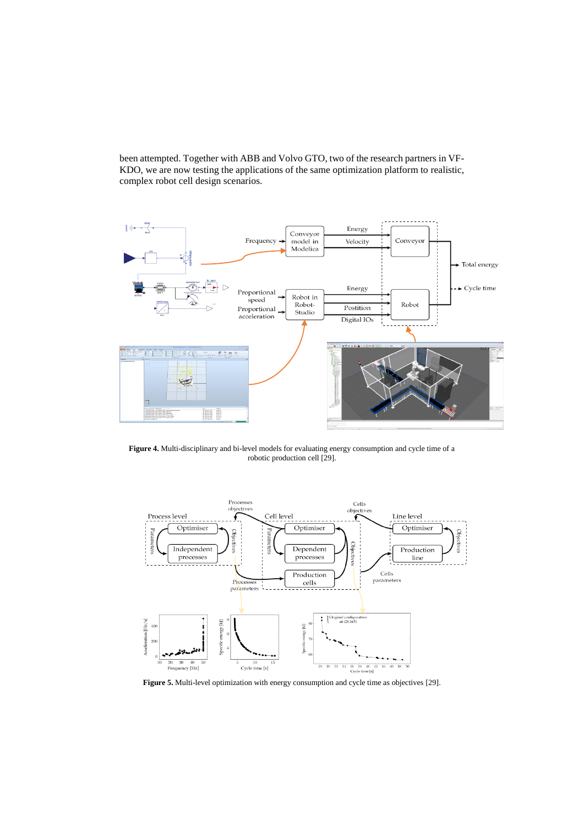been attempted. Together with ABB and Volvo GTO, two of the research partners in VF-KDO, we are now testing the applications of the same optimization platform to realistic, complex robot cell design scenarios.



**Figure 4.** Multi-disciplinary and bi-level models for evaluating energy consumption and cycle time of a robotic production cell [29].



Figure 5. Multi-level optimization with energy consumption and cycle time as objectives [29].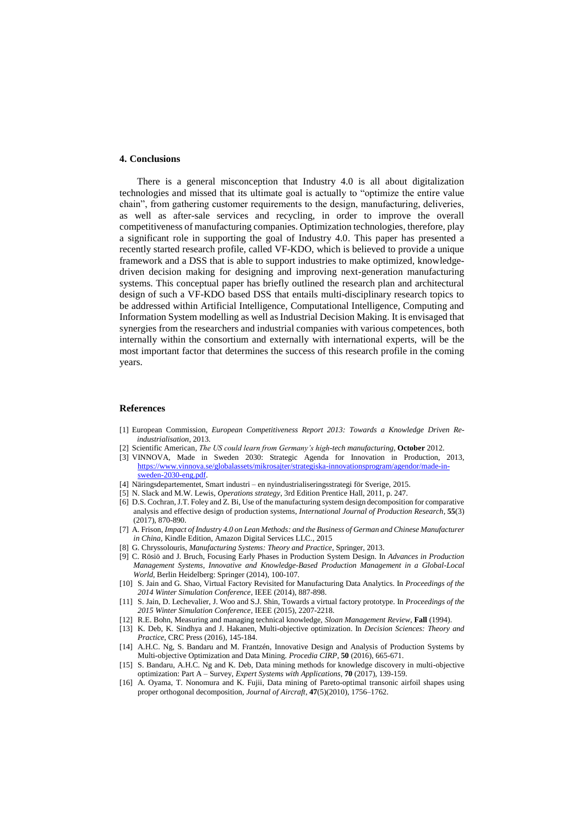### **4. Conclusions**

There is a general misconception that Industry 4.0 is all about digitalization technologies and missed that its ultimate goal is actually to "optimize the entire value chain", from gathering customer requirements to the design, manufacturing, deliveries, as well as after-sale services and recycling, in order to improve the overall competitiveness of manufacturing companies. Optimization technologies, therefore, play a significant role in supporting the goal of Industry 4.0. This paper has presented a recently started research profile, called VF-KDO, which is believed to provide a unique framework and a DSS that is able to support industries to make optimized, knowledgedriven decision making for designing and improving next-generation manufacturing systems. This conceptual paper has briefly outlined the research plan and architectural design of such a VF-KDO based DSS that entails multi-disciplinary research topics to be addressed within Artificial Intelligence, Computational Intelligence, Computing and Information System modelling as well as Industrial Decision Making. It is envisaged that synergies from the researchers and industrial companies with various competences, both internally within the consortium and externally with international experts, will be the most important factor that determines the success of this research profile in the coming years.

#### **References**

- [1] European Commission, *European Competitiveness Report 2013: Towards a Knowledge Driven Reindustrialisation*, 2013.
- [2] Scientific American*, The US could learn from Germany's high-tech manufacturing*, **October** 2012.
- [3] VINNOVA, Made in Sweden 2030: Strategic Agenda for Innovation in Production, 2013, [https://www.vinnova.se/globalassets/mikrosajter/strategiska-innovationsprogram/agendor/made-in](https://www.vinnova.se/globalassets/mikrosajter/strategiska-innovationsprogram/agendor/made-in-sweden-2030-eng.pdf)[sweden-2030-eng.pdf.](https://www.vinnova.se/globalassets/mikrosajter/strategiska-innovationsprogram/agendor/made-in-sweden-2030-eng.pdf)
- [4] Näringsdepartementet, Smart industri en nyindustrialiseringsstrategi för Sverige, 2015.
- [5] N. Slack and M.W. Lewis, *Operations strategy*, 3rd Edition Prentice Hall, 2011, p. 247.
- [6] D.S. Cochran, J.T. Foley and Z. Bi, Use of the manufacturing system design decomposition for comparative analysis and effective design of production systems, *International Journal of Production Research*, **55**(3) (2017), 870-890.
- [7] A. Frison, *[Impact of Industry 4.0 on Lean Methods: and the Business of German and Chinese Manufacturer](https://www.amazon.com/Impact-Industry-4-0-Lean-Methods-ebook/dp/B017T5XL0O/ref=sr_1_6?s=books&ie=UTF8&qid=1477144031&sr=1-6&keywords=industry+4.0)  in China*, [Kindle Edition, Amazon Digital Services LLC.,](https://www.amazon.com/Impact-Industry-4-0-Lean-Methods-ebook/dp/B017T5XL0O/ref=sr_1_6?s=books&ie=UTF8&qid=1477144031&sr=1-6&keywords=industry+4.0) 2015
- [8] G. Chryssolouris, *Manufacturing Systems: Theory and Practice*, Springer, 2013.
- [9] C. Rösiö and J. Bruch, Focusing Early Phases in Production System Design. In *Advances in Production Management Systems, Innovative and Knowledge-Based Production Management in a Global-Local World*, Berlin Heidelberg: Springer (2014), 100-107.
- [10] S. Jain and G. Shao, Virtual Factory Revisited for Manufacturing Data Analytics. In *Proceedings of the 2014 Winter Simulation Conference*, IEEE (2014), 887-898.
- [11] S. Jain, D. Lechevalier, J. Woo and S.J. Shin, Towards a virtual factory prototype. In *Proceedings of the 2015 Winter Simulation Conference*, IEEE (2015), 2207-2218.
- [12] R.E. Bohn, Measuring and managing technical knowledge, *Sloan Management Review*, **Fall** (1994).
- [13] K. Deb, K. Sindhya and J. Hakanen, Multi-objective optimization. In *Decision Sciences: Theory and*
- *Practice*, CRC Press (2016), 145-184. [14] A.H.C. Ng, S. Bandaru and M. Frantzén, Innovative Design and Analysis of Production Systems by Multi-objective Optimization and Data Mining. *Procedia CIRP*, **50** (2016), 665-671.
- [15] S. Bandaru, A.H.C. Ng and K. Deb, Data mining methods for knowledge discovery in multi-objective optimization: Part A – Survey, *Expert Systems with Applications*, **70** (2017), 139-159.
- [16] A. Oyama, T. Nonomura and K. Fujii, Data mining of Pareto-optimal transonic airfoil shapes using proper orthogonal decomposition, *Journal of Aircraft*, **47**(5)(2010), 1756–1762.